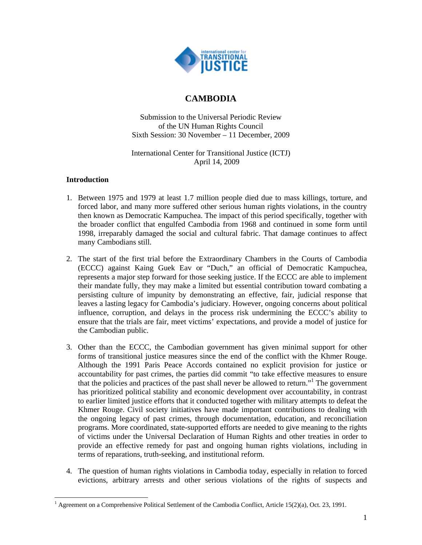

# **CAMBODIA**

Submission to the Universal Periodic Review of the UN Human Rights Council Sixth Session: 30 November – 11 December, 2009

International Center for Transitional Justice (ICTJ) April 14, 2009

## **Introduction**

 $\overline{a}$ 

- 1. Between 1975 and 1979 at least 1.7 million people died due to mass killings, torture, and forced labor, and many more suffered other serious human rights violations, in the country then known as Democratic Kampuchea. The impact of this period specifically, together with the broader conflict that engulfed Cambodia from 1968 and continued in some form until 1998, irreparably damaged the social and cultural fabric. That damage continues to affect many Cambodians still.
- 2. The start of the first trial before the Extraordinary Chambers in the Courts of Cambodia (ECCC) against Kaing Guek Eav or "Duch," an official of Democratic Kampuchea, represents a major step forward for those seeking justice. If the ECCC are able to implement their mandate fully, they may make a limited but essential contribution toward combating a persisting culture of impunity by demonstrating an effective, fair, judicial response that leaves a lasting legacy for Cambodia's judiciary. However, ongoing concerns about political influence, corruption, and delays in the process risk undermining the ECCC's ability to ensure that the trials are fair, meet victims' expectations, and provide a model of justice for the Cambodian public.
- 3. Other than the ECCC, the Cambodian government has given minimal support for other forms of transitional justice measures since the end of the conflict with the Khmer Rouge. Although the 1991 Paris Peace Accords contained no explicit provision for justice or accountability for past crimes, the parties did commit "to take effective measures to ensure that the policies and practices of the past shall never be allowed to return."1 The government has prioritized political stability and economic development over accountability, in contrast to earlier limited justice efforts that it conducted together with military attempts to defeat the Khmer Rouge. Civil society initiatives have made important contributions to dealing with the ongoing legacy of past crimes, through documentation, education, and reconciliation programs. More coordinated, state-supported efforts are needed to give meaning to the rights of victims under the Universal Declaration of Human Rights and other treaties in order to provide an effective remedy for past and ongoing human rights violations, including in terms of reparations, truth-seeking, and institutional reform.
- 4. The question of human rights violations in Cambodia today, especially in relation to forced evictions, arbitrary arrests and other serious violations of the rights of suspects and

<sup>&</sup>lt;sup>1</sup> Agreement on a Comprehensive Political Settlement of the Cambodia Conflict, Article 15(2)(a), Oct. 23, 1991.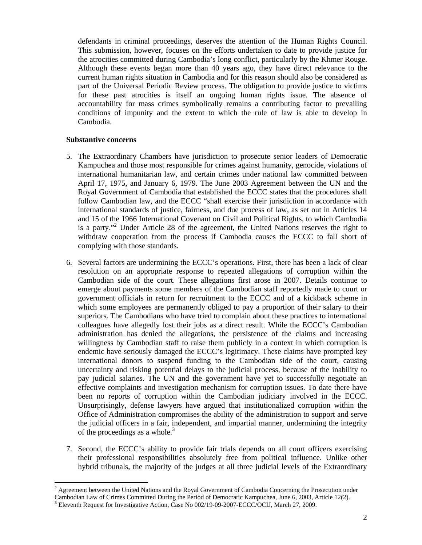defendants in criminal proceedings, deserves the attention of the Human Rights Council. This submission, however, focuses on the efforts undertaken to date to provide justice for the atrocities committed during Cambodia's long conflict, particularly by the Khmer Rouge. Although these events began more than 40 years ago, they have direct relevance to the current human rights situation in Cambodia and for this reason should also be considered as part of the Universal Periodic Review process. The obligation to provide justice to victims for these past atrocities is itself an ongoing human rights issue. The absence of accountability for mass crimes symbolically remains a contributing factor to prevailing conditions of impunity and the extent to which the rule of law is able to develop in Cambodia.

### **Substantive concerns**

- 5. The Extraordinary Chambers have jurisdiction to prosecute senior leaders of Democratic Kampuchea and those most responsible for crimes against humanity, genocide, violations of international humanitarian law, and certain crimes under national law committed between April 17, 1975, and January 6, 1979. The June 2003 Agreement between the UN and the Royal Government of Cambodia that established the ECCC states that the procedures shall follow Cambodian law, and the ECCC "shall exercise their jurisdiction in accordance with international standards of justice, fairness, and due process of law, as set out in Articles 14 and 15 of the 1966 International Covenant on Civil and Political Rights, to which Cambodia is a party."<sup>2</sup> Under Article 28 of the agreement, the United Nations reserves the right to withdraw cooperation from the process if Cambodia causes the ECCC to fall short of complying with those standards.
- 6. Several factors are undermining the ECCC's operations. First, there has been a lack of clear resolution on an appropriate response to repeated allegations of corruption within the Cambodian side of the court. These allegations first arose in 2007. Details continue to emerge about payments some members of the Cambodian staff reportedly made to court or government officials in return for recruitment to the ECCC and of a kickback scheme in which some employees are permanently obliged to pay a proportion of their salary to their superiors. The Cambodians who have tried to complain about these practices to international colleagues have allegedly lost their jobs as a direct result. While the ECCC's Cambodian administration has denied the allegations, the persistence of the claims and increasing willingness by Cambodian staff to raise them publicly in a context in which corruption is endemic have seriously damaged the ECCC's legitimacy. These claims have prompted key international donors to suspend funding to the Cambodian side of the court, causing uncertainty and risking potential delays to the judicial process, because of the inability to pay judicial salaries. The UN and the government have yet to successfully negotiate an effective complaints and investigation mechanism for corruption issues. To date there have been no reports of corruption within the Cambodian judiciary involved in the ECCC. Unsurprisingly, defense lawyers have argued that institutionalized corruption within the Office of Administration compromises the ability of the administration to support and serve the judicial officers in a fair, independent, and impartial manner, undermining the integrity of the proceedings as a whole. $3$
- 7. Second, the ECCC's ability to provide fair trials depends on all court officers exercising their professional responsibilities absolutely free from political influence. Unlike other hybrid tribunals, the majority of the judges at all three judicial levels of the Extraordinary

 $\overline{a}$ <sup>2</sup> Agreement between the United Nations and the Royal Government of Cambodia Concerning the Prosecution under

Cambodian Law of Crimes Committed During the Period of Democratic Kampuchea, June 6, 2003, Article 12(2).

 $3$  Eleventh Request for Investigative Action, Case No 002/19-09-2007-ECCC/OCIJ, March 27, 2009.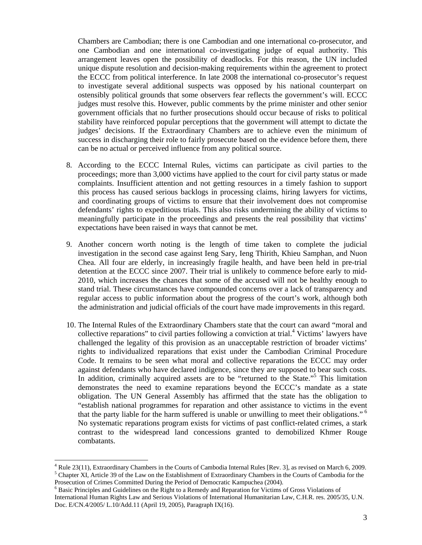Chambers are Cambodian; there is one Cambodian and one international co-prosecutor, and one Cambodian and one international co-investigating judge of equal authority. This arrangement leaves open the possibility of deadlocks. For this reason, the UN included unique dispute resolution and decision-making requirements within the agreement to protect the ECCC from political interference. In late 2008 the international co-prosecutor's request to investigate several additional suspects was opposed by his national counterpart on ostensibly political grounds that some observers fear reflects the government's will. ECCC judges must resolve this. However, public comments by the prime minister and other senior government officials that no further prosecutions should occur because of risks to political stability have reinforced popular perceptions that the government will attempt to dictate the judges' decisions. If the Extraordinary Chambers are to achieve even the minimum of success in discharging their role to fairly prosecute based on the evidence before them, there can be no actual or perceived influence from any political source.

- 8. According to the ECCC Internal Rules, victims can participate as civil parties to the proceedings; more than 3,000 victims have applied to the court for civil party status or made complaints. Insufficient attention and not getting resources in a timely fashion to support this process has caused serious backlogs in processing claims, hiring lawyers for victims, and coordinating groups of victims to ensure that their involvement does not compromise defendants' rights to expeditious trials. This also risks undermining the ability of victims to meaningfully participate in the proceedings and presents the real possibility that victims' expectations have been raised in ways that cannot be met.
- 9. Another concern worth noting is the length of time taken to complete the judicial investigation in the second case against Ieng Sary, Ieng Thirith, Khieu Samphan, and Nuon Chea. All four are elderly, in increasingly fragile health, and have been held in pre-trial detention at the ECCC since 2007. Their trial is unlikely to commence before early to mid-2010, which increases the chances that some of the accused will not be healthy enough to stand trial. These circumstances have compounded concerns over a lack of transparency and regular access to public information about the progress of the court's work, although both the administration and judicial officials of the court have made improvements in this regard.
- 10. The Internal Rules of the Extraordinary Chambers state that the court can award "moral and collective reparations" to civil parties following a conviction at trial.<sup>4</sup> Victims' lawyers have challenged the legality of this provision as an unacceptable restriction of broader victims' rights to individualized reparations that exist under the Cambodian Criminal Procedure Code. It remains to be seen what moral and collective reparations the ECCC may order against defendants who have declared indigence, since they are supposed to bear such costs. In addition, criminally acquired assets are to be "returned to the State."<sup>5</sup> This limitation demonstrates the need to examine reparations beyond the ECCC's mandate as a state obligation. The UN General Assembly has affirmed that the state has the obligation to "establish national programmes for reparation and other assistance to victims in the event that the party liable for the harm suffered is unable or unwilling to meet their obligations." 6 No systematic reparations program exists for victims of past conflict-related crimes, a stark contrast to the widespread land concessions granted to demobilized Khmer Rouge combatants.

 $4$  Rule 23(11), Extraordinary Chambers in the Courts of Cambodia Internal Rules [Rev. 3], as revised on March 6, 2009.  $<sup>5</sup>$  Chapter XI, Article 39 of the Law on the Establishment of Extraordinary Chambers in the Courts of Cambodia for the</sup> Prosecution of Crimes Committed During the Period of Democratic Kampuchea (2004).

<sup>&</sup>lt;sup>6</sup> Basic Principles and Guidelines on the Right to a Remedy and Reparation for Victims of Gross Violations of International Human Rights Law and Serious Violations of International Humanitarian Law, C.H.R. res. 2005/35, U.N. Doc. E/CN.4/2005/ L.10/Add.11 (April 19, 2005), Paragraph IX(16).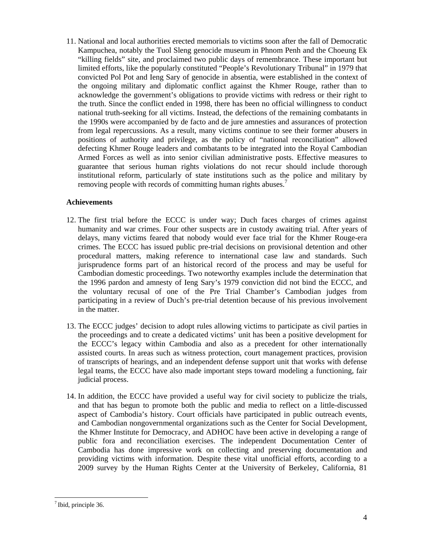11. National and local authorities erected memorials to victims soon after the fall of Democratic Kampuchea, notably the Tuol Sleng genocide museum in Phnom Penh and the Choeung Ek "killing fields" site, and proclaimed two public days of remembrance. These important but limited efforts, like the popularly constituted "People's Revolutionary Tribunal" in 1979 that convicted Pol Pot and Ieng Sary of genocide in absentia, were established in the context of the ongoing military and diplomatic conflict against the Khmer Rouge, rather than to acknowledge the government's obligations to provide victims with redress or their right to the truth. Since the conflict ended in 1998, there has been no official willingness to conduct national truth-seeking for all victims. Instead, the defections of the remaining combatants in the 1990s were accompanied by de facto and de jure amnesties and assurances of protection from legal repercussions. As a result, many victims continue to see their former abusers in positions of authority and privilege, as the policy of "national reconciliation" allowed defecting Khmer Rouge leaders and combatants to be integrated into the Royal Cambodian Armed Forces as well as into senior civilian administrative posts. Effective measures to guarantee that serious human rights violations do not recur should include thorough institutional reform, particularly of state institutions such as the police and military by removing people with records of committing human rights abuses.<sup>7</sup>

## **Achievements**

- 12. The first trial before the ECCC is under way; Duch faces charges of crimes against humanity and war crimes. Four other suspects are in custody awaiting trial. After years of delays, many victims feared that nobody would ever face trial for the Khmer Rouge-era crimes. The ECCC has issued public pre-trial decisions on provisional detention and other procedural matters, making reference to international case law and standards. Such jurisprudence forms part of an historical record of the process and may be useful for Cambodian domestic proceedings. Two noteworthy examples include the determination that the 1996 pardon and amnesty of Ieng Sary's 1979 conviction did not bind the ECCC, and the voluntary recusal of one of the Pre Trial Chamber's Cambodian judges from participating in a review of Duch's pre-trial detention because of his previous involvement in the matter.
- 13. The ECCC judges' decision to adopt rules allowing victims to participate as civil parties in the proceedings and to create a dedicated victims' unit has been a positive development for the ECCC's legacy within Cambodia and also as a precedent for other internationally assisted courts. In areas such as witness protection, court management practices, provision of transcripts of hearings, and an independent defense support unit that works with defense legal teams, the ECCC have also made important steps toward modeling a functioning, fair judicial process.
- 14. In addition, the ECCC have provided a useful way for civil society to publicize the trials, and that has begun to promote both the public and media to reflect on a little-discussed aspect of Cambodia's history. Court officials have participated in public outreach events, and Cambodian nongovernmental organizations such as the Center for Social Development, the Khmer Institute for Democracy, and ADHOC have been active in developing a range of public fora and reconciliation exercises. The independent Documentation Center of Cambodia has done impressive work on collecting and preserving documentation and providing victims with information. Despite these vital unofficial efforts, according to a 2009 survey by the Human Rights Center at the University of Berkeley, California, 81

 $\overline{a}$ 

 $<sup>7</sup>$  Ibid, principle 36.</sup>